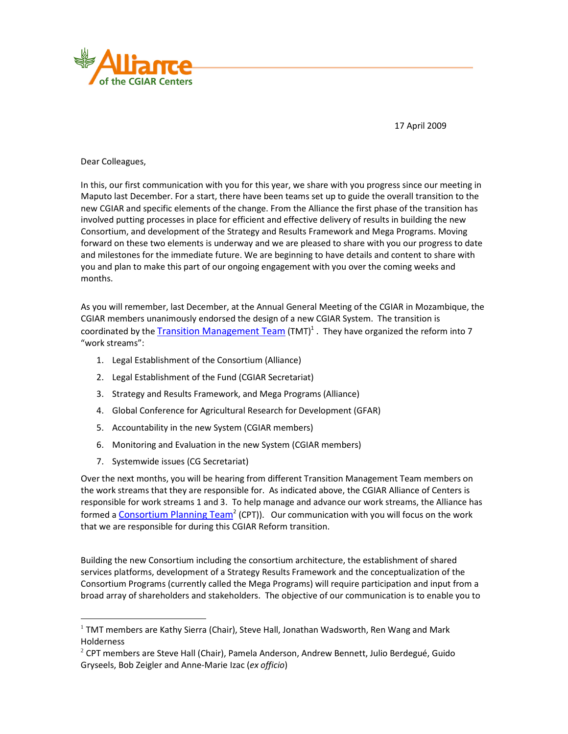

17 April 2009

Dear Colleagues,

In this, our first communication with you for this year, we share with you progress since our meeting in Maputo last December. For a start, there have been teams set up to guide the overall transition to the new CGIAR and specific elements of the change. From the Alliance the first phase of the transition has involved putting processes in place for efficient and effective delivery of results in building the new Consortium, and development of the Strategy and Results Framework and Mega Programs. Moving forward on these two elements is underway and we are pleased to share with you our progress to date and milestones for the immediate future. We are beginning to have details and content to share with you and plan to make this part of our ongoing engagement with you over the coming weeks and months.

As you will remember, last December, at the Annual General Meeting of the CGIAR in Mozambique, the CGIAR members unanimously endorsed the design of a new CGIAR System. The transition is coordinated by the Transition Management Team (TMT)<sup>1</sup>. They have organized the reform into 7 "work streams":

- 1. Legal Establishment of the Consortium (Alliance)
- 2. Legal Establishment of the Fund (CGIAR Secretariat)
- 3. Strategy and Results Framework, and Mega Programs (Alliance)
- 4. Global Conference for Agricultural Research for Development (GFAR)
- 5. Accountability in the new System (CGIAR members)
- 6. Monitoring and Evaluation in the new System (CGIAR members)
- 7. Systemwide issues (CG Secretariat)

 $\overline{a}$ 

Over the next months, you will be hearing from different Transition Management Team members on the work streams that they are responsible for. As indicated above, the CGIAR Alliance of Centers is responsible for work streams 1 and 3. To help manage and advance our work streams, the Alliance has formed a Consortium Planning Team<sup>2</sup> (CPT)). Our communication with you will focus on the work that we are responsible for during this CGIAR Reform transition.

Building the new Consortium including the consortium architecture, the establishment of shared services platforms, development of a Strategy Results Framework and the conceptualization of the Consortium Programs (currently called the Mega Programs) will require participation and input from a broad array of shareholders and stakeholders. The objective of our communication is to enable you to

 $<sup>1</sup>$  TMT members are Kathy Sierra (Chair), Steve Hall, Jonathan Wadsworth, Ren Wang and Mark</sup> Holderness

 $2$  CPT members are Steve Hall (Chair), Pamela Anderson, Andrew Bennett, Julio Berdegué, Guido Gryseels, Bob Zeigler and Anne-Marie Izac (*ex officio*)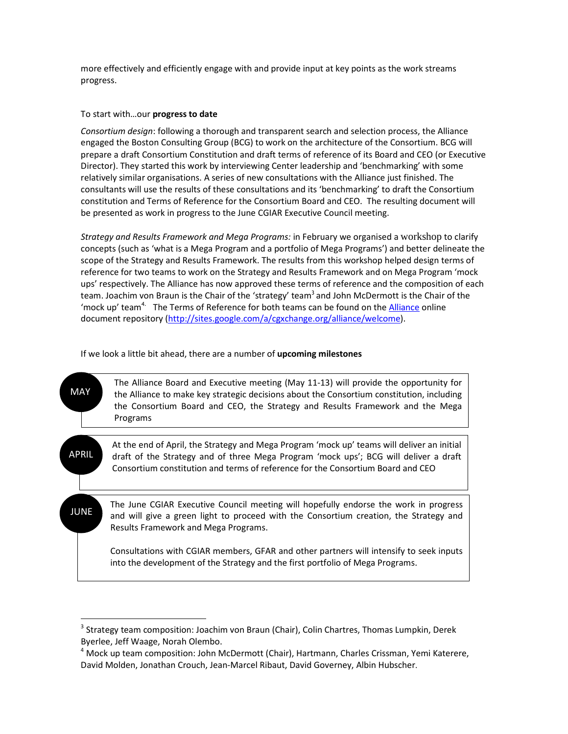more effectively and efficiently engage with and provide input at key points as the work streams progress.

## To start with…our **progress to date**

 $\overline{a}$ 

*Consortium design*: following a thorough and transparent search and selection process, the Alliance engaged the Boston Consulting Group (BCG) to work on the architecture of the Consortium. BCG will prepare a draft Consortium Constitution and draft terms of reference of its Board and CEO (or Executive Director). They started this work by interviewing Center leadership and 'benchmarking' with some relatively similar organisations. A series of new consultations with the Alliance just finished. The consultants will use the results of these consultations and its 'benchmarking' to draft the Consortium constitution and Terms of Reference for the Consortium Board and CEO. The resulting document will be presented as work in progress to the June CGIAR Executive Council meeting.

*Strategy and Results Framework and Mega Programs:* in February we organised a workshop to clarify concepts (such as 'what is a Mega Program and a portfolio of Mega Programs') and better delineate the scope of the Strategy and Results Framework. The results from this workshop helped design terms of reference for two teams to work on the Strategy and Results Framework and on Mega Program 'mock ups' respectively. The Alliance has now approved these terms of reference and the composition of each team. Joachim von Braun is the Chair of the 'strategy' team<sup>3</sup> and John McDermott is the Chair of the 'mock up' team<sup>4.</sup> The Terms of Reference for both teams can be found on the Alliance online document repository (http://sites.google.com/a/cgxchange.org/alliance/welcome).

If we look a little bit ahead, there are a number of **upcoming milestones** 

| <b>MAY</b>   | The Alliance Board and Executive meeting (May 11-13) will provide the opportunity for<br>the Alliance to make key strategic decisions about the Consortium constitution, including<br>the Consortium Board and CEO, the Strategy and Results Framework and the Mega<br>Programs |
|--------------|---------------------------------------------------------------------------------------------------------------------------------------------------------------------------------------------------------------------------------------------------------------------------------|
|              |                                                                                                                                                                                                                                                                                 |
| <b>APRIL</b> | At the end of April, the Strategy and Mega Program 'mock up' teams will deliver an initial<br>draft of the Strategy and of three Mega Program 'mock ups'; BCG will deliver a draft<br>Consortium constitution and terms of reference for the Consortium Board and CEO           |
|              |                                                                                                                                                                                                                                                                                 |
| <b>JUNE</b>  | The June CGIAR Executive Council meeting will hopefully endorse the work in progress<br>and will give a green light to proceed with the Consortium creation, the Strategy and<br>Results Framework and Mega Programs.                                                           |
|              | Consultations with CGIAR members, GFAR and other partners will intensify to seek inputs<br>into the development of the Strategy and the first portfolio of Mega Programs.                                                                                                       |

<sup>&</sup>lt;sup>3</sup> Strategy team composition: Joachim von Braun (Chair), Colin Chartres, Thomas Lumpkin, Derek Byerlee, Jeff Waage, Norah Olembo.

<sup>&</sup>lt;sup>4</sup> Mock up team composition: John McDermott (Chair), Hartmann, Charles Crissman, Yemi Katerere, David Molden, Jonathan Crouch, Jean-Marcel Ribaut, David Governey, Albin Hubscher.